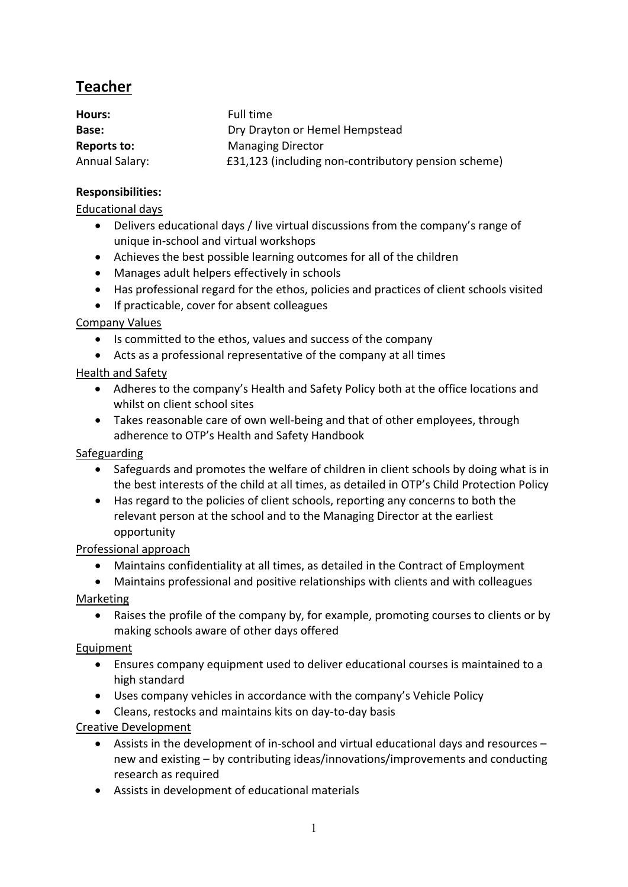# **Teacher**

| Hours:         | Full time                                           |
|----------------|-----------------------------------------------------|
| Base:          | Dry Drayton or Hemel Hempstead                      |
| Reports to:    | <b>Managing Director</b>                            |
| Annual Salary: | £31,123 (including non-contributory pension scheme) |

#### **Responsibilities:**

#### Educational days

- Delivers educational days / live virtual discussions from the company's range of unique in-school and virtual workshops
- Achieves the best possible learning outcomes for all of the children
- Manages adult helpers effectively in schools
- Has professional regard for the ethos, policies and practices of client schools visited
- If practicable, cover for absent colleagues

## Company Values

- Is committed to the ethos, values and success of the company
- Acts as a professional representative of the company at all times

## Health and Safety

- Adheres to the company's Health and Safety Policy both at the office locations and whilst on client school sites
- Takes reasonable care of own well-being and that of other employees, through adherence to OTP's Health and Safety Handbook

## Safeguarding

- Safeguards and promotes the welfare of children in client schools by doing what is in the best interests of the child at all times, as detailed in OTP's Child Protection Policy
- Has regard to the policies of client schools, reporting any concerns to both the relevant person at the school and to the Managing Director at the earliest opportunity

## Professional approach

- Maintains confidentiality at all times, as detailed in the Contract of Employment
- Maintains professional and positive relationships with clients and with colleagues

## Marketing

• Raises the profile of the company by, for example, promoting courses to clients or by making schools aware of other days offered

## Equipment

- Ensures company equipment used to deliver educational courses is maintained to a high standard
- Uses company vehicles in accordance with the company's Vehicle Policy
- Cleans, restocks and maintains kits on day-to-day basis

## Creative Development

- Assists in the development of in-school and virtual educational days and resources new and existing – by contributing ideas/innovations/improvements and conducting research as required
- Assists in development of educational materials